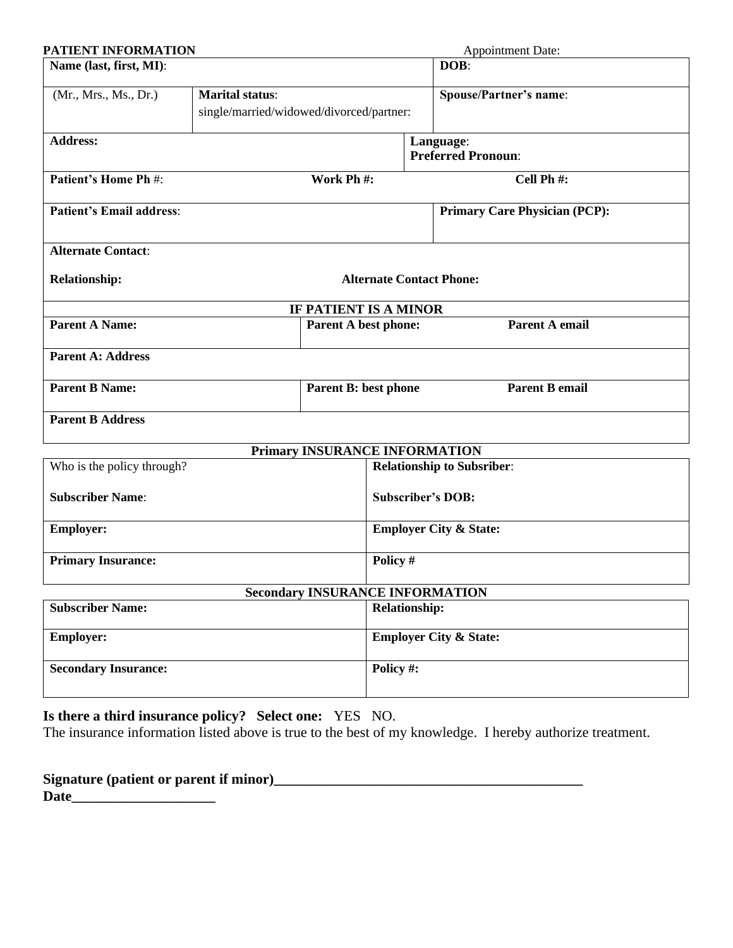| PATIENT INFORMATION             |                                                                    |                                        |                                   | <b>Appointment Date:</b>               |
|---------------------------------|--------------------------------------------------------------------|----------------------------------------|-----------------------------------|----------------------------------------|
| Name (last, first, MI):         |                                                                    |                                        | DOB:                              |                                        |
| (Mr., Mrs., Ms., Dr.)           | <b>Marital status:</b><br>single/married/widowed/divorced/partner: |                                        |                                   | <b>Spouse/Partner's name:</b>          |
| <b>Address:</b>                 |                                                                    |                                        |                                   | Language:<br><b>Preferred Pronoun:</b> |
| Patient's Home Ph #:            |                                                                    | Work Ph #:                             |                                   | Cell Ph #:                             |
| <b>Patient's Email address:</b> |                                                                    |                                        |                                   | <b>Primary Care Physician (PCP):</b>   |
| <b>Alternate Contact:</b>       |                                                                    |                                        |                                   |                                        |
| <b>Relationship:</b>            | <b>Alternate Contact Phone:</b>                                    |                                        |                                   |                                        |
|                                 |                                                                    | IF PATIENT IS A MINOR                  |                                   |                                        |
| <b>Parent A Name:</b>           |                                                                    | <b>Parent A best phone:</b>            |                                   | Parent A email                         |
| <b>Parent A: Address</b>        |                                                                    |                                        |                                   |                                        |
| <b>Parent B Name:</b>           |                                                                    | <b>Parent B: best phone</b>            |                                   | <b>Parent B email</b>                  |
| <b>Parent B Address</b>         |                                                                    |                                        |                                   |                                        |
|                                 |                                                                    | Primary INSURANCE INFORMATION          |                                   |                                        |
| Who is the policy through?      |                                                                    |                                        |                                   | <b>Relationship to Subsriber:</b>      |
| <b>Subscriber Name:</b>         |                                                                    |                                        |                                   | <b>Subscriber's DOB:</b>               |
| <b>Employer:</b>                |                                                                    |                                        | <b>Employer City &amp; State:</b> |                                        |
| <b>Primary Insurance:</b>       |                                                                    |                                        | Policy #                          |                                        |
|                                 |                                                                    | <b>Secondary INSURANCE INFORMATION</b> |                                   |                                        |
| <b>Subscriber Name:</b>         |                                                                    | <b>Relationship:</b>                   |                                   |                                        |
| <b>Employer:</b>                |                                                                    |                                        |                                   | <b>Employer City &amp; State:</b>      |
| <b>Secondary Insurance:</b>     |                                                                    |                                        | Policy#:                          |                                        |

**Is there a third insurance policy? Select one:** YES NO.

The insurance information listed above is true to the best of my knowledge. I hereby authorize treatment.

| Signature (patient or parent if minor) |  |
|----------------------------------------|--|
| <b>Date</b>                            |  |